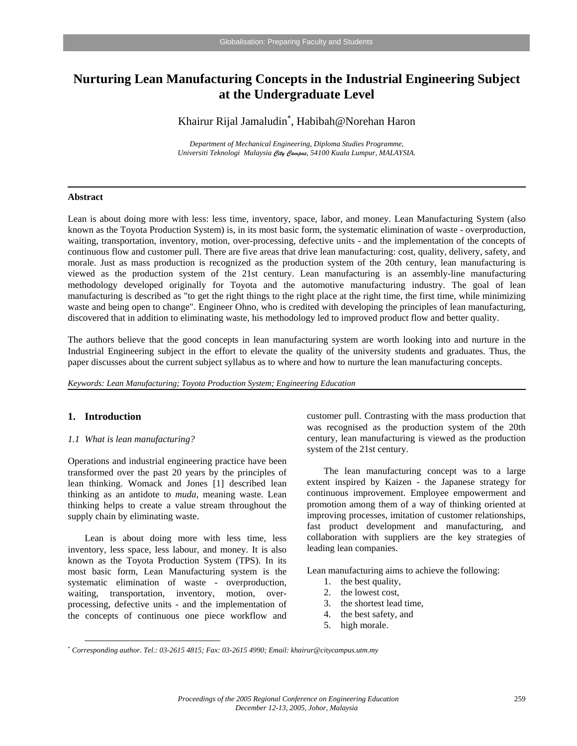# **Nurturing Lean Manufacturing Concepts in the Industrial Engineering Subject at the Undergraduate Level**

Khairur Rijal Jamaludin<sup>∗</sup> , Habibah@Norehan Haron

*Department of Mechanical Engineering, Diploma Studies Programme, Universiti Teknologi Malaysia City Campus, 54100 Kuala Lumpur, MALAYSIA.* 

## **Abstract**

Lean is about doing more with less: less time, inventory, space, labor, and money. Lean Manufacturing System (also known as the Toyota Production System) is, in its most basic form, the systematic elimination of waste - overproduction, waiting, transportation, inventory, motion, over-processing, defective units - and the implementation of the concepts of continuous flow and customer pull. There are five areas that drive lean manufacturing: cost, quality, delivery, safety, and morale. Just as mass production is recognized as the production system of the 20th century, lean manufacturing is viewed as the production system of the 21st century. Lean manufacturing is an assembly-line manufacturing methodology developed originally for Toyota and the automotive manufacturing industry. The goal of lean manufacturing is described as "to get the right things to the right place at the right time, the first time, while minimizing waste and being open to change". Engineer Ohno, who is credited with developing the principles of lean manufacturing, discovered that in addition to eliminating waste, his methodology led to improved product flow and better quality.

The authors believe that the good concepts in lean manufacturing system are worth looking into and nurture in the Industrial Engineering subject in the effort to elevate the quality of the university students and graduates. Thus, the paper discusses about the current subject syllabus as to where and how to nurture the lean manufacturing concepts.

*Keywords: Lean Manufacturing; Toyota Production System; Engineering Education* 

### **1. Introduction**

 $\overline{a}$ 

## *1.1 What is lean manufacturing?*

Operations and industrial engineering practice have been transformed over the past 20 years by the principles of lean thinking. Womack and Jones [1] described lean thinking as an antidote to *muda,* meaning waste. Lean thinking helps to create a value stream throughout the supply chain by eliminating waste.

Lean is about doing more with less time, less inventory, less space, less labour, and money. It is also known as the Toyota Production System (TPS). In its most basic form, Lean Manufacturing system is the systematic elimination of waste - overproduction, waiting, transportation, inventory, motion, overprocessing, defective units - and the implementation of the concepts of continuous one piece workflow and customer pull. Contrasting with the mass production that was recognised as the production system of the 20th century, lean manufacturing is viewed as the production system of the 21st century.

The lean manufacturing concept was to a large extent inspired by Kaizen - the Japanese strategy for continuous improvement. Employee empowerment and promotion among them of a way of thinking oriented at improving processes, imitation of customer relationships, fast product development and manufacturing, and collaboration with suppliers are the key strategies of leading lean companies.

Lean manufacturing aims to achieve the following:

- 1. the best quality,
- 2. the lowest cost,
- 3. the shortest lead time,
- 4. the best safety, and
- 5. high morale.

<sup>∗</sup> *Corresponding author. Tel.: 03-2615 4815; Fax: 03-2615 4990; Email: khairur@citycampus.utm.my*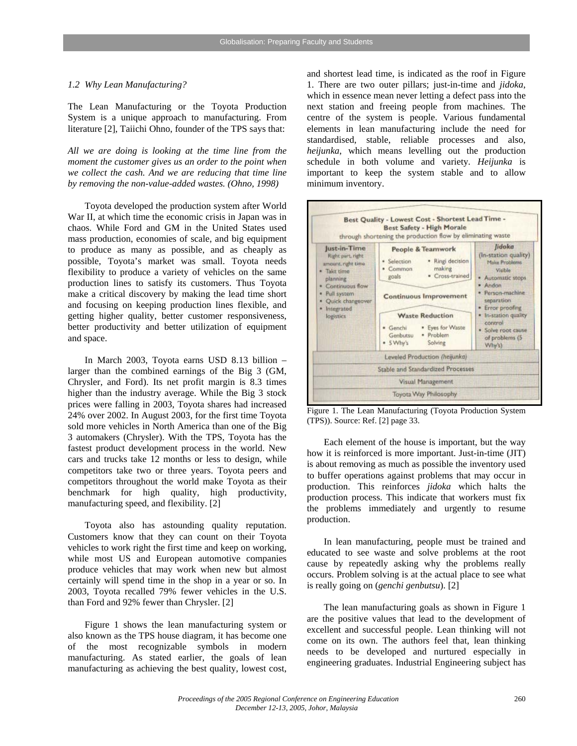#### *1.2 Why Lean Manufacturing?*

The Lean Manufacturing or the Toyota Production System is a unique approach to manufacturing. From literature [2], Taiichi Ohno, founder of the TPS says that:

*All we are doing is looking at the time line from the moment the customer gives us an order to the point when we collect the cash. And we are reducing that time line by removing the non-value-added wastes. (Ohno, 1998)* 

Toyota developed the production system after World War II, at which time the economic crisis in Japan was in chaos. While Ford and GM in the United States used mass production, economies of scale, and big equipment to produce as many as possible, and as cheaply as possible, Toyota's market was small. Toyota needs flexibility to produce a variety of vehicles on the same production lines to satisfy its customers. Thus Toyota make a critical discovery by making the lead time short and focusing on keeping production lines flexible, and getting higher quality, better customer responsiveness, better productivity and better utilization of equipment and space.

In March 2003, Toyota earns USD 8.13 billion – larger than the combined earnings of the Big 3 (GM, Chrysler, and Ford). Its net profit margin is 8.3 times higher than the industry average. While the Big 3 stock prices were falling in 2003, Toyota shares had increased 24% over 2002. In August 2003, for the first time Toyota sold more vehicles in North America than one of the Big 3 automakers (Chrysler). With the TPS, Toyota has the fastest product development process in the world. New cars and trucks take 12 months or less to design, while competitors take two or three years. Toyota peers and competitors throughout the world make Toyota as their benchmark for high quality, high productivity, manufacturing speed, and flexibility. [2]

Toyota also has astounding quality reputation. Customers know that they can count on their Toyota vehicles to work right the first time and keep on working, while most US and European automotive companies produce vehicles that may work when new but almost certainly will spend time in the shop in a year or so. In 2003, Toyota recalled 79% fewer vehicles in the U.S. than Ford and 92% fewer than Chrysler. [2]

Figure 1 shows the lean manufacturing system or also known as the TPS house diagram, it has become one of the most recognizable symbols in modern manufacturing. As stated earlier, the goals of lean manufacturing as achieving the best quality, lowest cost, and shortest lead time, is indicated as the roof in Figure 1. There are two outer pillars; just-in-time and *jidoka*, which in essence mean never letting a defect pass into the next station and freeing people from machines. The centre of the system is people. Various fundamental elements in lean manufacturing include the need for standardised, stable, reliable processes and also, *heijunka*, which means levelling out the production schedule in both volume and variety. *Heijunka* is important to keep the system stable and to allow minimum inventory.



Figure 1. The Lean Manufacturing (Toyota Production System (TPS)). Source: Ref. [2] page 33.

Each element of the house is important, but the way how it is reinforced is more important. Just-in-time (JIT) is about removing as much as possible the inventory used to buffer operations against problems that may occur in production. This reinforces *jidoka* which halts the production process. This indicate that workers must fix the problems immediately and urgently to resume production.

In lean manufacturing, people must be trained and educated to see waste and solve problems at the root cause by repeatedly asking why the problems really occurs. Problem solving is at the actual place to see what is really going on (*genchi genbutsu*). [2]

The lean manufacturing goals as shown in Figure 1 are the positive values that lead to the development of excellent and successful people. Lean thinking will not come on its own. The authors feel that, lean thinking needs to be developed and nurtured especially in engineering graduates. Industrial Engineering subject has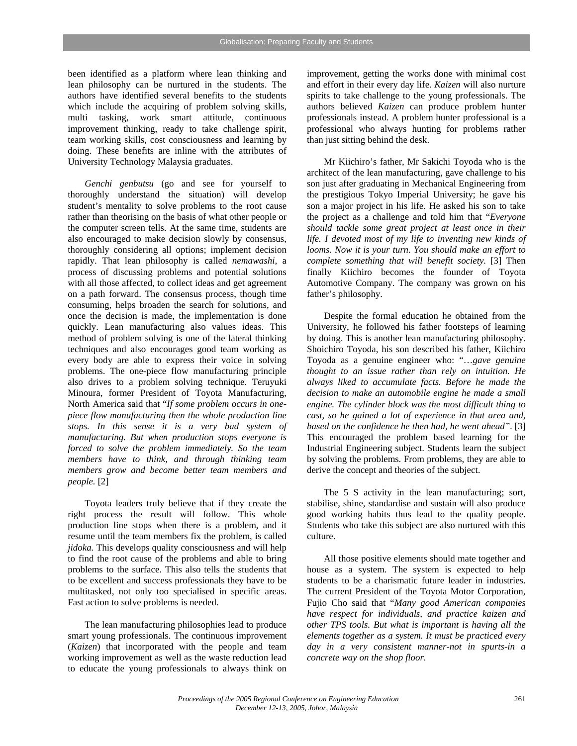been identified as a platform where lean thinking and lean philosophy can be nurtured in the students. The authors have identified several benefits to the students which include the acquiring of problem solving skills, multi tasking, work smart attitude, continuous improvement thinking, ready to take challenge spirit, team working skills, cost consciousness and learning by doing. These benefits are inline with the attributes of University Technology Malaysia graduates.

*Genchi genbutsu* (go and see for yourself to thoroughly understand the situation) will develop student's mentality to solve problems to the root cause rather than theorising on the basis of what other people or the computer screen tells. At the same time, students are also encouraged to make decision slowly by consensus, thoroughly considering all options; implement decision rapidly. That lean philosophy is called *nemawashi*, a process of discussing problems and potential solutions with all those affected, to collect ideas and get agreement on a path forward. The consensus process, though time consuming, helps broaden the search for solutions, and once the decision is made, the implementation is done quickly. Lean manufacturing also values ideas. This method of problem solving is one of the lateral thinking techniques and also encourages good team working as every body are able to express their voice in solving problems. The one-piece flow manufacturing principle also drives to a problem solving technique. Teruyuki Minoura, former President of Toyota Manufacturing, North America said that "*If some problem occurs in onepiece flow manufacturing then the whole production line stops. In this sense it is a very bad system of manufacturing. But when production stops everyone is forced to solve the problem immediately. So the team members have to think, and through thinking team members grow and become better team members and people.* [2]

Toyota leaders truly believe that if they create the right process the result will follow. This whole production line stops when there is a problem, and it resume until the team members fix the problem, is called *jidoka.* This develops quality consciousness and will help to find the root cause of the problems and able to bring problems to the surface. This also tells the students that to be excellent and success professionals they have to be multitasked, not only too specialised in specific areas. Fast action to solve problems is needed.

The lean manufacturing philosophies lead to produce smart young professionals. The continuous improvement (*Kaizen*) that incorporated with the people and team working improvement as well as the waste reduction lead to educate the young professionals to always think on improvement, getting the works done with minimal cost and effort in their every day life. *Kaizen* will also nurture spirits to take challenge to the young professionals. The authors believed *Kaizen* can produce problem hunter professionals instead. A problem hunter professional is a professional who always hunting for problems rather than just sitting behind the desk.

Mr Kiichiro's father, Mr Sakichi Toyoda who is the architect of the lean manufacturing, gave challenge to his son just after graduating in Mechanical Engineering from the prestigious Tokyo Imperial University; he gave his son a major project in his life. He asked his son to take the project as a challenge and told him that "*Everyone should tackle some great project at least once in their life. I devoted most of my life to inventing new kinds of looms. Now it is your turn. You should make an effort to complete something that will benefit society.* [3] Then finally Kiichiro becomes the founder of Toyota Automotive Company. The company was grown on his father's philosophy.

Despite the formal education he obtained from the University, he followed his father footsteps of learning by doing. This is another lean manufacturing philosophy. Shoichiro Toyoda, his son described his father, Kiichiro Toyoda as a genuine engineer who: "…*gave genuine thought to an issue rather than rely on intuition. He always liked to accumulate facts. Before he made the decision to make an automobile engine he made a small engine. The cylinder block was the most difficult thing to cast, so he gained a lot of experience in that area and, based on the confidence he then had, he went ahead".* [3] This encouraged the problem based learning for the Industrial Engineering subject. Students learn the subject by solving the problems. From problems, they are able to derive the concept and theories of the subject.

The 5 S activity in the lean manufacturing; sort, stabilise, shine, standardise and sustain will also produce good working habits thus lead to the quality people. Students who take this subject are also nurtured with this culture.

All those positive elements should mate together and house as a system. The system is expected to help students to be a charismatic future leader in industries. The current President of the Toyota Motor Corporation, Fujio Cho said that "*Many good American companies have respect for individuals, and practice kaizen and other TPS tools. But what is important is having all the elements together as a system. It must be practiced every day in a very consistent manner-not in spurts-in a concrete way on the shop floor.*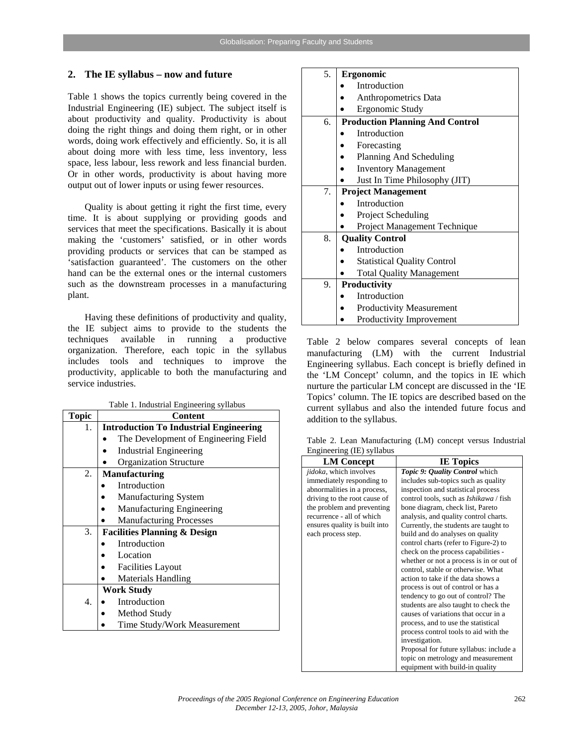## **2. The IE syllabus – now and future**

Table 1 shows the topics currently being covered in the Industrial Engineering (IE) subject. The subject itself is about productivity and quality. Productivity is about doing the right things and doing them right, or in other words, doing work effectively and efficiently. So, it is all about doing more with less time, less inventory, less space, less labour, less rework and less financial burden. Or in other words, productivity is about having more output out of lower inputs or using fewer resources.

Quality is about getting it right the first time, every time. It is about supplying or providing goods and services that meet the specifications. Basically it is about making the 'customers' satisfied, or in other words providing products or services that can be stamped as 'satisfaction guaranteed'. The customers on the other hand can be the external ones or the internal customers such as the downstream processes in a manufacturing plant.

Having these definitions of productivity and quality, the IE subject aims to provide to the students the techniques available in running a productive organization. Therefore, each topic in the syllabus includes tools and techniques to improve the productivity, applicable to both the manufacturing and service industries.

Table 1. Industrial Engineering syllabus

| Topic | raoic 1. muusunai Engineering synabus<br><b>Content</b> |  |  |
|-------|---------------------------------------------------------|--|--|
| 1.    | <b>Introduction To Industrial Engineering</b>           |  |  |
|       | The Development of Engineering Field                    |  |  |
|       | <b>Industrial Engineering</b>                           |  |  |
|       | <b>Organization Structure</b>                           |  |  |
| 2.    | <b>Manufacturing</b>                                    |  |  |
|       | Introduction                                            |  |  |
|       | Manufacturing System                                    |  |  |
|       | Manufacturing Engineering                               |  |  |
|       | <b>Manufacturing Processes</b>                          |  |  |
| 3.    | <b>Facilities Planning &amp; Design</b>                 |  |  |
|       | Introduction                                            |  |  |
|       | Location                                                |  |  |
|       | <b>Facilities Layout</b>                                |  |  |
|       | <b>Materials Handling</b>                               |  |  |
|       | <b>Work Study</b>                                       |  |  |
| 4.    | Introduction                                            |  |  |
|       | Method Study                                            |  |  |
|       | Time Study/Work Measurement                             |  |  |

| 5. | Ergonomic                              |  |
|----|----------------------------------------|--|
|    | Introduction                           |  |
|    | Anthropometrics Data                   |  |
|    | Ergonomic Study                        |  |
| б. | <b>Production Planning And Control</b> |  |
|    | Introduction                           |  |
|    | Forecasting                            |  |
|    | Planning And Scheduling                |  |
|    | <b>Inventory Management</b>            |  |
|    | Just In Time Philosophy (JIT)          |  |
| 7. | <b>Project Management</b>              |  |
|    | Introduction                           |  |
|    | Project Scheduling                     |  |
|    | Project Management Technique           |  |
| 8. | <b>Quality Control</b>                 |  |
|    | Introduction                           |  |
|    | <b>Statistical Quality Control</b>     |  |
|    | <b>Total Quality Management</b>        |  |
| 9. | <b>Productivity</b>                    |  |
|    | Introduction                           |  |
|    | Productivity Measurement               |  |
|    | Productivity Improvement               |  |

Table 2 below compares several concepts of lean manufacturing (LM) with the current Industrial Engineering syllabus. Each concept is briefly defined in the 'LM Concept' column, and the topics in IE which nurture the particular LM concept are discussed in the 'IE Topics' column. The IE topics are described based on the current syllabus and also the intended future focus and addition to the syllabus.

Table 2. Lean Manufacturing (LM) concept versus Industrial Engineering (IE) syllabus

| <b>LM</b> Concept              | <b>IE Topics</b>                              |
|--------------------------------|-----------------------------------------------|
| <i>jidoka</i> , which involves | Topic 9: Quality Control which                |
| immediately responding to      | includes sub-topics such as quality           |
| abnormalities in a process,    | inspection and statistical process            |
| driving to the root cause of   | control tools, such as <i>Ishikawa</i> / fish |
| the problem and preventing     | bone diagram, check list, Pareto              |
| recurrence - all of which      | analysis, and quality control charts.         |
| ensures quality is built into  | Currently, the students are taught to         |
| each process step.             | build and do analyses on quality              |
|                                | control charts (refer to Figure-2) to         |
|                                | check on the process capabilities -           |
|                                | whether or not a process is in or out of      |
|                                | control, stable or otherwise. What            |
|                                | action to take if the data shows a            |
|                                | process is out of control or has a            |
|                                | tendency to go out of control? The            |
|                                | students are also taught to check the         |
|                                | causes of variations that occur in a          |
|                                | process, and to use the statistical           |
|                                | process control tools to aid with the         |
|                                | investigation.                                |
|                                | Proposal for future syllabus: include a       |
|                                | topic on metrology and measurement            |
|                                | equipment with build-in quality               |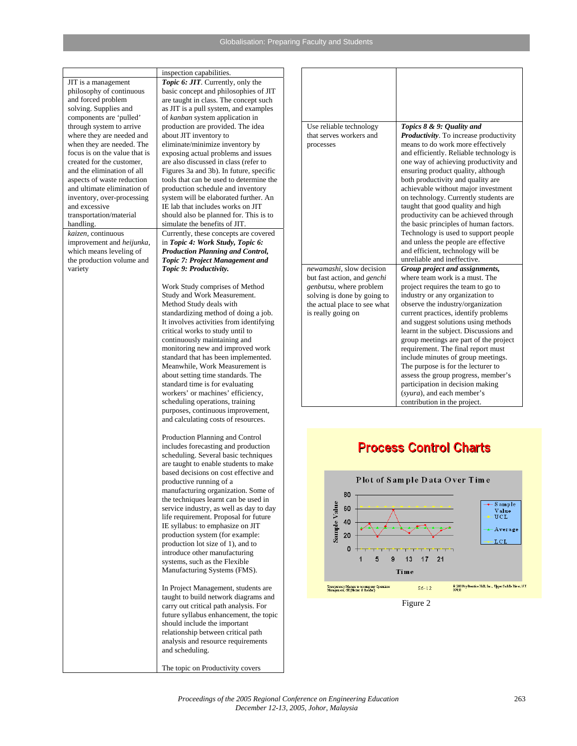#### Globalisation: Preparing Faculty and Students

JIT is a management philosophy of continuous and forced problem solving. Supplies and components are 'pulled' through system to arrive where they are needed and when they are needed. The focus is on the value that is created for the customer, and the elimination of all aspects of waste reduction and ultimate elimination of inventory, over-processing and excessive transportation/material handling. *kaizen*, continuous improvement and *heijunka*, which means leveling of the production volume and variety

inspection capabilities. *Topic 6: JIT.* Currently, only the basic concept and philosophies of JIT are taught in class. The concept such as JIT is a pull system, and examples of *kanban* system application in production are provided. The idea about JIT inventory to eliminate/minimize inventory by exposing actual problems and issues are also discussed in class (refer to Figures 3a and 3b). In future, specific tools that can be used to determine the production schedule and inventory system will be elaborated further. An IE lab that includes works on JIT should also be planned for. This is to simulate the benefits of JIT. Currently, these concepts are covered in *Topic 4: Work Study, Topic 6: Production Planning and Control, Topic 7: Project Management and Topic 9: Productivity.*

Work Study comprises of Method Study and Work Measurement. Method Study deals with standardizing method of doing a job. It involves activities from identifying critical works to study until to continuously maintaining and monitoring new and improved work standard that has been implemented. Meanwhile, Work Measurement is about setting time standards. The standard time is for evaluating workers' or machines' efficiency, scheduling operations, training purposes, continuous improvement, and calculating costs of resources.

Production Planning and Control includes forecasting and production scheduling. Several basic techniques are taught to enable students to make based decisions on cost effective and productive running of a manufacturing organization. Some of the techniques learnt can be used in service industry, as well as day to day life requirement. Proposal for future IE syllabus: to emphasize on JIT production system (for example: production lot size of 1), and to introduce other manufacturing systems, such as the Flexible Manufacturing Systems (FMS).

In Project Management, students are taught to build network diagrams and carry out critical path analysis. For future syllabus enhancement, the topic should include the important relationship between critical path analysis and resource requirements and scheduling.

The topic on Productivity covers

| Use reliable technology         | Topics 8 & 9: Quality and                                                   |
|---------------------------------|-----------------------------------------------------------------------------|
| that serves workers and         | <b>Productivity</b> . To increase productivity                              |
| processes                       | means to do work more effectively                                           |
|                                 | and efficiently. Reliable technology is                                     |
|                                 | one way of achieving productivity and<br>ensuring product quality, although |
|                                 | both productivity and quality are                                           |
|                                 | achievable without major investment                                         |
|                                 | on technology. Currently students are                                       |
|                                 | taught that good quality and high                                           |
|                                 | productivity can be achieved through                                        |
|                                 | the basic principles of human factors.                                      |
|                                 | Technology is used to support people<br>and unless the people are effective |
|                                 | and efficient, technology will be                                           |
|                                 | unreliable and ineffective.                                                 |
| newamashi, slow decision        | Group project and assignments,                                              |
| but fast action, and genchi     | where team work is a must. The                                              |
| <i>genbutsu</i> , where problem | project requires the team to go to                                          |
| solving is done by going to     | industry or any organization to                                             |
| the actual place to see what    | observe the industry/organization                                           |
| is really going on              | current practices, identify problems<br>and suggest solutions using methods |
|                                 | learnt in the subject. Discussions and                                      |
|                                 | group meetings are part of the project                                      |
|                                 | requirement. The final report must                                          |
|                                 | include minutes of group meetings.                                          |
|                                 | The purpose is for the lecturer to                                          |
|                                 | assess the group progress, member's                                         |
|                                 | participation in decision making                                            |
|                                 | (syura), and each member's                                                  |
|                                 | contribution in the project.                                                |

# **Process Control Charts**